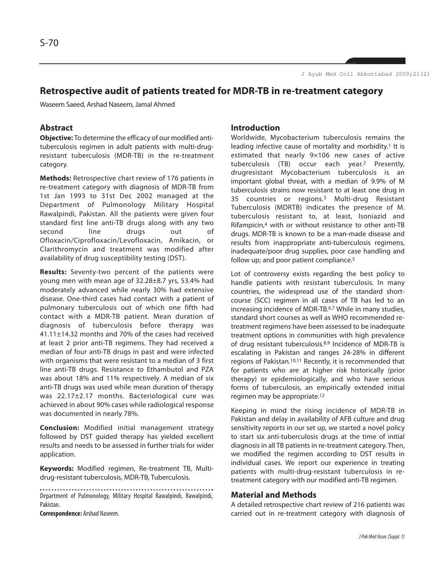## **Retrospective audit of patients treated for MDR-TB in re-treatment category**

Waseem Saeed, Arshad Naseem, Jamal Ahmed

## **Abstract**

**Objective:** To determine the efficacy of our modified antituberculosis regimen in adult patients with multi-drugresistant tuberculosis (MDR-TB) in the re-treatment category.

**Methods:** Retrospective chart review of 176 patients in re-treatment category with diagnosis of MDR-TB from 1st Jan 1993 to 31st Dec 2002 managed at the Department of Pulmonology Military Hospital Rawalpindi, Pakistan. All the patients were given four standard first line anti-TB drugs along with any two second line drugs out of Ofloxacin/Ciprofloxacin/Levofloxacin, Amikacin, or Clarithromycin and treatment was modified after availability of drug susceptibility testing (DST).

**Results:** Seventy-two percent of the patients were young men with mean age of 32.28±8.7 yrs, 53.4% had moderately advanced while nearly 30% had extensive disease. One-third cases had contact with a patient of pulmonary tuberculosis out of which one fifth had contact with a MDR-TB patient. Mean duration of diagnosis of tuberculosis before therapy was 41.11±14.32 months and 70% of the cases had received at least 2 prior anti-TB regimens. They had received a median of four anti-TB drugs in past and were infected with organisms that were resistant to a median of 3 first line anti-TB drugs. Resistance to Ethambutol and PZA was about 18% and 11% respectively. A median of six anti-TB drugs was used while mean duration of therapy was 22.17±2.17 months. Bacteriological cure was achieved in about 90% cases while radiological response was documented in nearly 78%.

**Conclusion:** Modified initial management strategy followed by DST guided therapy has yielded excellent results and needs to be assessed in further trials for wider application.

**Keywords:** Modified regimen, Re-treatment TB, Multidrug-resistant tuberculosis, MDR-TB, Tuberculosis.

Department of Pulmonology, Military Hospital Rawalpindi, Rawalpindi, Pakistan.

**Correspondence:** Arshad Naseem.

## **Introduction**

Worldwide, Mycobacterium tuberculosis remains the leading infective cause of mortality and morbidity.<sup>1</sup> It is estimated that nearly 9×106 new cases of active tuberculosis (TB) occur each year.<sup>2</sup> Presently, drugresistant Mycobacterium tuberculosis is an important global threat, with a median of 9.9% of M tuberculosis strains now resistant to at least one drug in 35 countries or regions.<sup>3</sup> Multi-drug Resistant Tuberculosis (MDRTB) indicates the presence of M. tuberculosis resistant to, at least, Isoniazid and Rifampicin,<sup>4</sup> with or without resistance to other anti-TB drugs. MDR-TB is known to be a man-made disease and results from inappropriate anti-tuberculosis regimens, inadequate/poor drug supplies, poor case handling and follow up; and poor patient compliance.<sup>5</sup>

Lot of controversy exists regarding the best policy to handle patients with resistant tuberculosis. In many countries, the widespread use of the standard shortcourse (SCC) regimen in all cases of TB has led to an increasing incidence of MDR-TB.6,7 While in many studies, standard short courses as well as WHO recommended retreatment regimens have been assessed to be inadequate treatment options in communities with high prevalence of drug resistant tuberculosis.8,9 Incidence of MDR-TB is escalating in Pakistan and ranges 24-28% in different regions of Pakistan.10,11 Recently, it is recommended that for patients who are at higher risk historically (prior therapy) or epidemiologically, and who have serious forms of tuberculosis, an empirically extended initial regimen may be appropriate.<sup>12</sup>

Keeping in mind the rising incidence of MDR-TB in Pakistan and delay in availability of AFB culture and drug sensitivity reports in our set up, we started a novel policy to start six anti-tuberculosis drugs at the time of initial diagnosis in all TB patients in re-treatment category. Then, we modified the regimen according to DST results in individual cases. We report our experience in treating patients with multi-drug-resistant tuberculosis in retreatment category with our modified anti-TB regimen.

### **Material and Methods**

A detailed retrospective chart review of 216 patients was carried out in re-treatment category with diagnosis of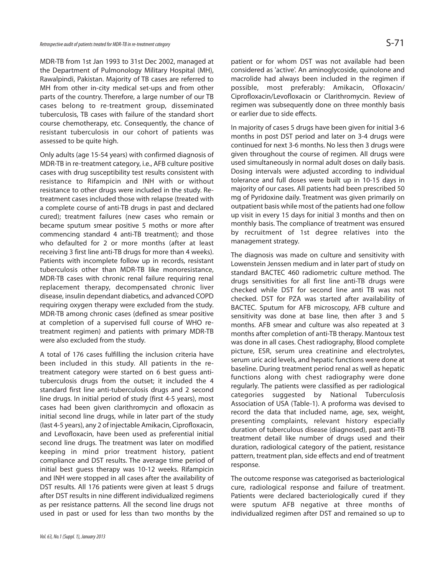MDR-TB from 1st Jan 1993 to 31st Dec 2002, managed at the Department of Pulmonology Military Hospital (MH), Rawalpindi, Pakistan. Majority of TB cases are referred to MH from other in-city medical set-ups and from other parts of the country. Therefore, a large number of our TB cases belong to re-treatment group, disseminated tuberculosis, TB cases with failure of the standard short course chemotherapy, etc. Consequently, the chance of resistant tuberculosis in our cohort of patients was assessed to be quite high.

Only adults (age 15-54 years) with confirmed diagnosis of MDR-TB in re-treatment category, i.e., AFB culture positive cases with drug susceptibility test results consistent with resistance to Rifampicin and INH with or without resistance to other drugs were included in the study. Retreatment cases included those with relapse (treated with a complete course of anti-TB drugs in past and declared cured); treatment failures (new cases who remain or became sputum smear positive 5 moths or more after commencing standard 4 anti-TB treatment); and those who defaulted for 2 or more months (after at least receiving 3 first line anti-TB drugs for more than 4 weeks). Patients with incomplete follow up in records, resistant tuberculosis other than MDR-TB like monoresistance, MDR-TB cases with chronic renal failure requiring renal replacement therapy, decompensated chronic liver disease, insulin dependant diabetics, and advanced COPD requiring oxygen therapy were excluded from the study. MDR-TB among chronic cases (defined as smear positive at completion of a supervised full course of WHO retreatment regimen) and patients with primary MDR-TB were also excluded from the study.

A total of 176 cases fulfilling the inclusion criteria have been included in this study. All patients in the retreatment category were started on 6 best guess antituberculosis drugs from the outset; it included the 4 standard first line anti-tuberculosis drugs and 2 second line drugs. In initial period of study (first 4-5 years), most cases had been given clarithromycin and ofloxacin as initial second line drugs, while in later part of the study (last 4-5 years), any 2 of injectable Amikacin, Ciprofloxacin, and Levofloxacin, have been used as preferential initial second line drugs. The treatment was later on modified keeping in mind prior treatment history, patient compliance and DST results. The average time period of initial best guess therapy was 10-12 weeks. Rifampicin and INH were stopped in all cases after the availability of DST results. All 176 patients were given at least 5 drugs after DST results in nine different individualized regimens as per resistance patterns. All the second line drugs not used in past or used for less than two months by the

patient or for whom DST was not available had been considered as 'active'. An aminoglycoside, quinolone and macrolide had always been included in the regimen if possible, most preferably: Amikacin, Ofloxacin/ Ciprofloxacin/Levofloxacin or Clarithromycin. Review of regimen was subsequently done on three monthly basis or earlier due to side effects.

In majority of cases 5 drugs have been given for initial 3-6 months in post DST period and later on 3-4 drugs were continued for next 3-6 months. No less then 3 drugs were given throughout the course of regimen. All drugs were used simultaneously in normal adult doses on daily basis. Dosing intervals were adjusted according to individual tolerance and full doses were built up in 10-15 days in majority of our cases. All patients had been prescribed 50 mg of Pyridoxine daily. Treatment was given primarily on outpatient basis while most of the patients had one follow up visit in every 15 days for initial 3 months and then on monthly basis. The compliance of treatment was ensured by recruitment of 1st degree relatives into the management strategy.

The diagnosis was made on culture and sensitivity with Lowenstein Jenssen medium and in later part of study on standard BACTEC 460 radiometric culture method. The drugs sensitivities for all first line anti-TB drugs were checked while DST for second line anti TB was not checked. DST for PZA was started after availability of BACTEC. Sputum for AFB microscopy, AFB culture and sensitivity was done at base line, then after 3 and 5 months. AFB smear and culture was also repeated at 3 months after completion of anti-TB therapy. Mantoux test was done in all cases. Chest radiography, Blood complete picture, ESR, serum urea creatinine and electrolytes, serum uric acid levels, and hepatic functions were done at baseline. During treatment period renal as well as hepatic functions along with chest radiography were done regularly. The patients were classified as per radiological categories suggested by National Tuberculosis Association of USA (Table-1). A proforma was devised to record the data that included name, age, sex, weight, presenting complaints, relevant history especially duration of tuberculous disease (diagnosed), past anti-TB treatment detail like number of drugs used and their duration, radiological category of the patient, resistance pattern, treatment plan, side effects and end of treatment response.

The outcome response was categorised as bacteriological cure, radiological response and failure of treatment. Patients were declared bacteriologically cured if they were sputum AFB negative at three months of individualized regimen after DST and remained so up to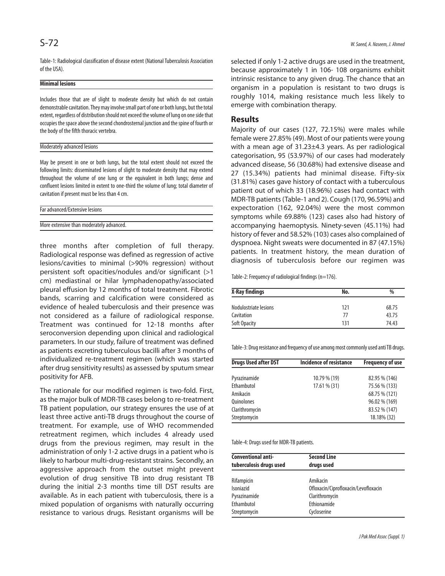Table-1: Radiological classification of disease extent (National Tuberculosis Association of the USA).

#### **Minimal lesions**

Includes those that are of slight to moderate density but which do not contain demonstrable cavitation. They may involve small part of one or both lungs, but the total extent, regardless of distribution should not exceed the volume of lung on one side that occupies the space above the second chondrosternal junction and the spine of fourth or the body of the fifth thoracic vertebra.

#### Moderately advanced lesions

May be present in one or both lungs, but the total extent should not exceed the following limits: disseminated lesions of slight to moderate density that may extend throughout the volume of one lung or the equivalent in both lungs; dense and confluent lesions limited in extent to one-third the volume of lung; total diameter of cavitation if present must be less than 4 cm.

| Far advanced/Extensive lesions |  |
|--------------------------------|--|
|                                |  |

More extensive than moderately advanced.

three months after completion of full therapy. Radiological response was defined as regression of active lesions/cavities to minimal (>90% regression) without persistent soft opacities/nodules and/or significant (>1 cm) mediastinal or hilar lymphadenopathy/associated pleural effusion by 12 months of total treatment. Fibrotic bands, scarring and calcification were considered as evidence of healed tuberculosis and their presence was not considered as a failure of radiological response. Treatment was continued for 12-18 months after seroconversion depending upon clinical and radiological parameters. In our study, failure of treatment was defined as patients excreting tuberculous bacilli after 3 months of individualized re-treatment regimen (which was started after drug sensitivity results) as assessed by sputum smear positivity for AFB.

The rationale for our modified regimen is two-fold. First, as the major bulk of MDR-TB cases belong to re-treatment TB patient population, our strategy ensures the use of at least three active anti-TB drugs throughout the course of treatment. For example, use of WHO recommended retreatment regimen, which includes 4 already used drugs from the previous regimen, may result in the administration of only 1-2 active drugs in a patient who is likely to harbour multi-drug-resistant strains. Secondly, an aggressive approach from the outset might prevent evolution of drug sensitive TB into drug resistant TB during the initial 2-3 months time till DST results are available. As in each patient with tuberculosis, there is a mixed population of organisms with naturally occurring resistance to various drugs. Resistant organisms will be

selected if only 1-2 active drugs are used in the treatment, because approximately 1 in 106- 108 organisms exhibit intrinsic resistance to any given drug. The chance that an organism in a population is resistant to two drugs is roughly 1014, making resistance much less likely to emerge with combination therapy.

#### **Results**

Majority of our cases (127, 72.15%) were males while female were 27.85% (49). Most of our patients were young with a mean age of 31.23±4.3 years. As per radiological categorisation, 95 (53.97%) of our cases had moderately advanced disease, 56 (30.68%) had extensive disease and 27 (15.34%) patients had minimal disease. Fifty-six (31.81%) cases gave history of contact with a tuberculous patient out of which 33 (18.96%) cases had contact with MDR-TB patients (Table-1 and 2). Cough (170, 96.59%) and expectoration (162, 92.04%) were the most common symptoms while 69.88% (123) cases also had history of accompanying haemoptysis. Ninety-seven (45.11%) had history of fever and 58.52% (103) cases also complained of dyspnoea. Night sweats were documented in 87 (47.15%) patients. In treatment history, the mean duration of diagnosis of tuberculosis before our regimen was

Table-2: Frequency of radiological findings (n=176).

| <b>X-Ray findings</b> | No. | $\frac{0}{0}$ |
|-----------------------|-----|---------------|
| Nodulostriate lesions | 121 | 68.75         |
| Cavitation            | 77  | 43.75         |
| Soft Opacity          | 131 | 74.43         |

Table-3: Drug resistance and frequency of use among most commonly used anti TB drugs.

| <b>Drugs Used after DST</b> | Incidence of resistance | <b>Frequency of use</b> |
|-----------------------------|-------------------------|-------------------------|
| Pyrazinamide                | 10.79 % (19)            | 82.95 % (146)           |
| Ethambutol                  | 17.61 % (31)            | 75.56 % (133)           |
| Amikacin                    |                         | 68.75 % (121)           |
| <b>Ouinolones</b>           |                         | 96.02 % (169)           |
| Clarithromycin              |                         | 83.52 % (147)           |
| Streptomycin                |                         | 18.18% (32)             |

Table-4: Drugs used for MDR-TB patients.

| <b>Conventional anti-</b><br>tuberculosis drugs used | <b>Second Line</b><br>drugs used     |  |  |
|------------------------------------------------------|--------------------------------------|--|--|
| Rifampicin                                           | Amikacin                             |  |  |
| Isoniazid                                            | Ofloxacin/Ciprofloxacin/Levofloxacin |  |  |
| Pyrazinamide                                         | Clarithromycin                       |  |  |
| Ethambutol                                           | Ethionamide                          |  |  |
| Streptomycin                                         | Cycloserine                          |  |  |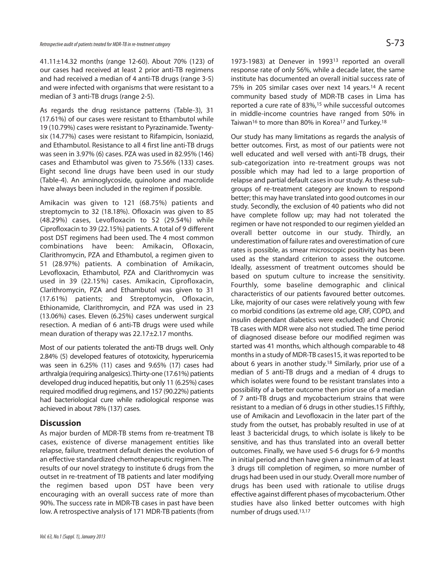41.11±14.32 months (range 12-60). About 70% (123) of our cases had received at least 2 prior anti-TB regimens and had received a median of 4 anti-TB drugs (range 3-5) and were infected with organisms that were resistant to a median of 3 anti-TB drugs (range 2-5).

As regards the drug resistance patterns (Table-3), 31 (17.61%) of our cases were resistant to Ethambutol while 19 (10.79%) cases were resistant to Pyrazinamide. Twentysix (14.77%) cases were resistant to Rifampicin, Isoniazid, and Ethambutol. Resistance to all 4 first line anti-TB drugs was seen in 3.97% (6) cases. PZA was used in 82.95% (146) cases and Ethambutol was given to 75.56% (133) cases. Eight second line drugs have been used in our study (Table-4). An aminoglycoside, quinolone and macrolide have always been included in the regimen if possible.

Amikacin was given to 121 (68.75%) patients and streptomycin to 32 (18.18%). Ofloxacin was given to 85 (48.29%) cases, Levofloxacin to 52 (29.54%) while Ciprofloxacin to 39 (22.15%) patients. A total of 9 different post DST regimens had been used. The 4 most common combinations have been: Amikacin, Ofloxacin, Clarithromycin, PZA and Ethambutol, a regimen given to 51 (28.97%) patients. A combination of Amikacin, Levofloxacin, Ethambutol, PZA and Clarithromycin was used in 39 (22.15%) cases. Amikacin, Ciprofloxacin, Clarithromycin, PZA and Ethambutol was given to 31 (17.61%) patients; and Streptomycin, Ofloxacin, Ethionamide, Clarithromycin, and PZA was used in 23 (13.06%) cases. Eleven (6.25%) cases underwent surgical resection. A median of 6 anti-TB drugs were used while mean duration of therapy was 22.17±2.17 months.

Most of our patients tolerated the anti-TB drugs well. Only 2.84% (5) developed features of ototoxicity, hyperuricemia was seen in 6.25% (11) cases and 9.65% (17) cases had arthralgia (requiring analgesics). Thirty-one (17.61%) patients developed drug induced hepatitis, but only 11 (6.25%) cases required modified drug regimens, and 157 (90.22%) patients had bacteriological cure while radiological response was achieved in about 78% (137) cases.

### **Discussion**

As major burden of MDR-TB stems from re-treatment TB cases, existence of diverse management entities like relapse, failure, treatment default denies the evolution of an effective standardized chemotherapeutic regimen. The results of our novel strategy to institute 6 drugs from the outset in re-treatment of TB patients and later modifying the regimen based upon DST have been very encouraging with an overall success rate of more than 90%. The success rate in MDR-TB cases in past have been low. A retrospective analysis of 171 MDR-TB patients (from

1973-1983) at Denever in 1993<sup>13</sup> reported an overall response rate of only 56%, while a decade later, the same institute has documented an overall initial success rate of 75% in 205 similar cases over next 14 years.<sup>14</sup> A recent community based study of MDR-TB cases in Lima has reported a cure rate of 83%,<sup>15</sup> while successful outcomes in middle-income countries have ranged from 50% in Taiwan<sup>16</sup> to more than 80% in Korea<sup>17</sup> and Turkey.<sup>18</sup>

Our study has many limitations as regards the analysis of better outcomes. First, as most of our patients were not well educated and well versed with anti-TB drugs, their sub-categorization into re-treatment groups was not possible which may had led to a large proportion of relapse and partial default cases in our study. As these subgroups of re-treatment category are known to respond better; this may have translated into good outcomes in our study. Secondly, the exclusion of 40 patients who did not have complete follow up; may had not tolerated the regimen or have not responded to our regimen yielded an overall better outcome in our study. Thirdly, an underestimation of failure rates and overestimation of cure rates is possible, as smear microscopic positivity has been used as the standard criterion to assess the outcome. Ideally, assessment of treatment outcomes should be based on sputum culture to increase the sensitivity. Fourthly, some baseline demographic and clinical characteristics of our patients favoured better outcomes. Like, majority of our cases were relatively young with few co morbid conditions (as extreme old age, CRF, COPD, and insulin dependant diabetics were excluded) and Chronic TB cases with MDR were also not studied. The time period of diagnosed disease before our modified regimen was started was 41 months, which although comparable to 48 months in a study of MDR-TB cases15, it was reported to be about 6 years in another study.<sup>18</sup> Similarly, prior use of a median of 5 anti-TB drugs and a median of 4 drugs to which isolates were found to be resistant translates into a possibility of a better outcome then prior use of a median of 7 anti-TB drugs and mycobacterium strains that were resistant to a median of 6 drugs in other studies.15 Fifthly, use of Amikacin and Levofloxacin in the later part of the study from the outset, has probably resulted in use of at least 3 bactericidal drugs, to which isolate is likely to be sensitive, and has thus translated into an overall better outcomes. Finally, we have used 5-6 drugs for 6-9 months in initial period and then have given a minimum of at least 3 drugs till completion of regimen, so more number of drugs had been used in our study. Overall more number of drugs has been used with rationale to utilise drugs effective against different phases of mycobacterium. Other studies have also linked better outcomes with high number of drugs used.13,17